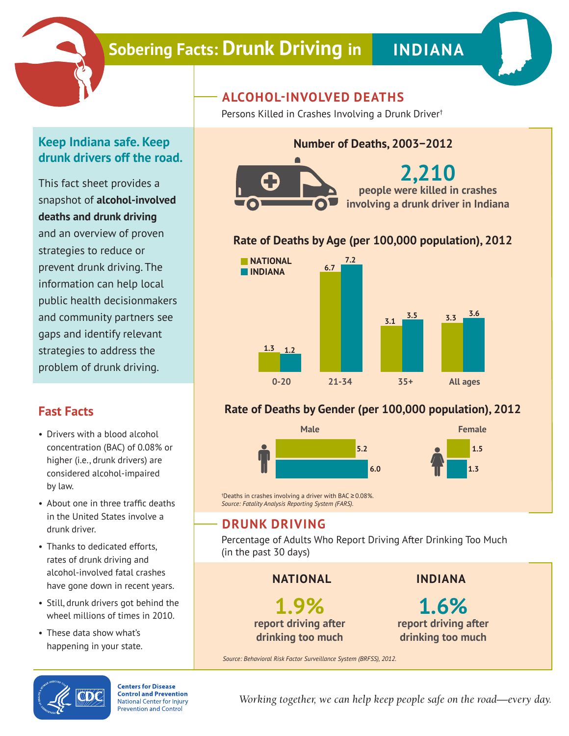

# **Sobering Facts: Drunk Driving in | INDIANA**

### **Keep Indiana safe. Keep drunk drivers off the road.**

This fact sheet provides a snapshot of **alcohol-involved deaths and drunk driving** and an overview of proven strategies to reduce or prevent drunk driving. The information can help local public health decisionmakers and community partners see gaps and identify relevant strategies to address the problem of drunk driving.

### **Fast Facts**

- Drivers with a blood alcohol concentration (BAC) of 0.08% or higher (i.e., drunk drivers) are considered alcohol-impaired by law.
- About one in three traffic deaths in the United States involve a drunk driver.
- Thanks to dedicated efforts, rates of drunk driving and alcohol-involved fatal crashes have gone down in recent years.
- Still, drunk drivers got behind the wheel millions of times in 2010.
- These data show what's happening in your state.

## **ALCOHOL-INVOLVED DEATHS**

Persons Killed in Crashes Involving a Drunk Driver†

#### **Number of Deaths, 2003−2012**



**2,210 people were killed in crashes involving a drunk driver in Indiana**

#### **Rate of Deaths by Age (per 100,000 population), 2012**



#### **Rate of Deaths by Gender (per 100,000 population), 2012**



† Deaths in crashes involving a driver with BAC ≥ 0.08%. *Source: Fatality Analysis Reporting System (FARS).*

### **DRUNK DRIVING**

Percentage of Adults Who Report Driving After Drinking Too Much (in the past 30 days)

**NATIONAL**

**1.9% report driving after drinking too much**

**INDIANA**

**1.6% report driving after drinking too much**

*Source: Behavioral Risk Factor Surveillance System (BRFSS), 2012.*



**Centers for Disease Control and Prevention National Center for Injury Prevention and Control** 

*Working together, we can help keep people safe on the road—every day.*